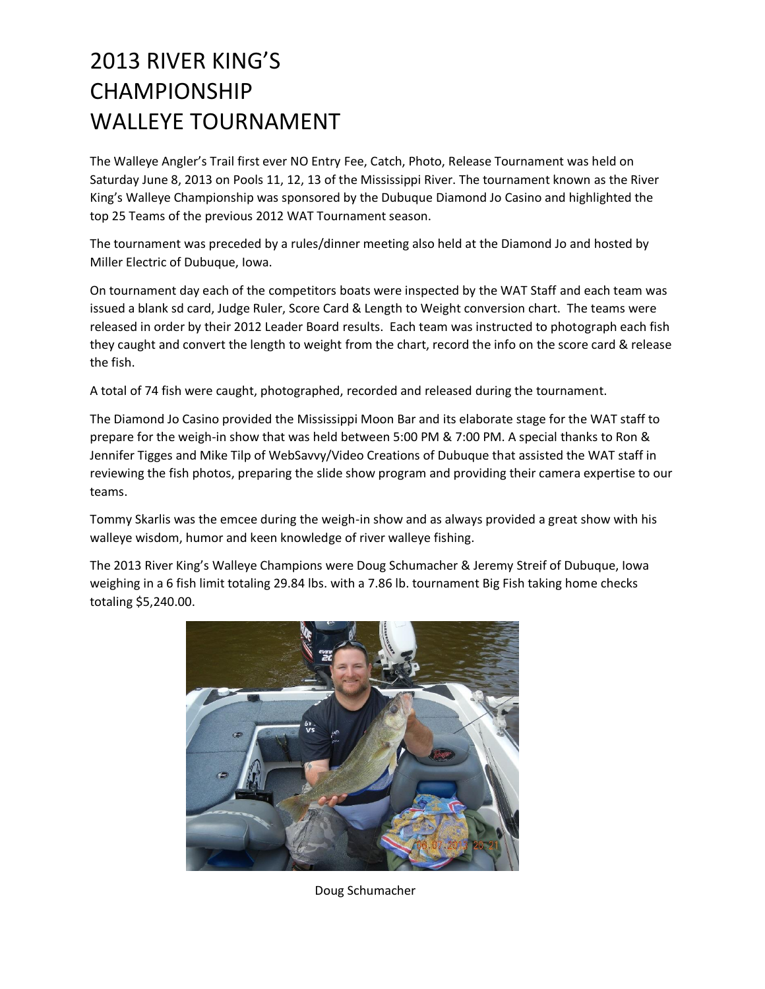## 2013 RIVER KING'S CHAMPIONSHIP WALLEYE TOURNAMENT

The Walleye Angler's Trail first ever NO Entry Fee, Catch, Photo, Release Tournament was held on Saturday June 8, 2013 on Pools 11, 12, 13 of the Mississippi River. The tournament known as the River King's Walleye Championship was sponsored by the Dubuque Diamond Jo Casino and highlighted the top 25 Teams of the previous 2012 WAT Tournament season.

The tournament was preceded by a rules/dinner meeting also held at the Diamond Jo and hosted by Miller Electric of Dubuque, Iowa.

On tournament day each of the competitors boats were inspected by the WAT Staff and each team was issued a blank sd card, Judge Ruler, Score Card & Length to Weight conversion chart. The teams were released in order by their 2012 Leader Board results. Each team was instructed to photograph each fish they caught and convert the length to weight from the chart, record the info on the score card & release the fish.

A total of 74 fish were caught, photographed, recorded and released during the tournament.

The Diamond Jo Casino provided the Mississippi Moon Bar and its elaborate stage for the WAT staff to prepare for the weigh-in show that was held between 5:00 PM & 7:00 PM. A special thanks to Ron & Jennifer Tigges and Mike Tilp of WebSavvy/Video Creations of Dubuque that assisted the WAT staff in reviewing the fish photos, preparing the slide show program and providing their camera expertise to our teams.

Tommy Skarlis was the emcee during the weigh-in show and as always provided a great show with his walleye wisdom, humor and keen knowledge of river walleye fishing.

The 2013 River King's Walleye Champions were Doug Schumacher & Jeremy Streif of Dubuque, Iowa weighing in a 6 fish limit totaling 29.84 lbs. with a 7.86 lb. tournament Big Fish taking home checks totaling \$5,240.00.



Doug Schumacher